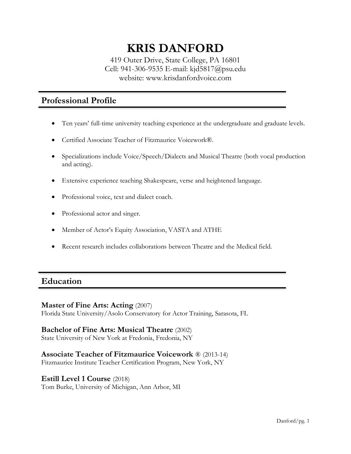# **KRIS DANFORD**

419 Outer Drive, State College, PA 16801 Cell: 941-306-9535 E-mail: kjd5817@psu.edu website: www.krisdanfordvoice.com

## **Professional Profile**

- Ten years' full-time university teaching experience at the undergraduate and graduate levels.
- Certified Associate Teacher of Fitzmaurice Voicework®.
- Specializations include Voice/Speech/Dialects and Musical Theatre (both vocal production and acting).
- Extensive experience teaching Shakespeare, verse and heightened language.
- Professional voice, text and dialect coach.
- Professional actor and singer.
- Member of Actor's Equity Association, VASTA and ATHE
- Recent research includes collaborations between Theatre and the Medical field.

## **Education**

#### **Master of Fine Arts: Acting** (2007)

Florida State University/Asolo Conservatory for Actor Training, Sarasota, FL

#### **Bachelor of Fine Arts: Musical Theatre** (2002)

State University of New York at Fredonia, Fredonia, NY

#### **Associate Teacher of Fitzmaurice Voicework** ® (2013-14)

Fitzmaurice Institute Teacher Certification Program, New York, NY

#### **Estill Level 1 Course** (2018)

Tom Burke, University of Michigan, Ann Arbor, MI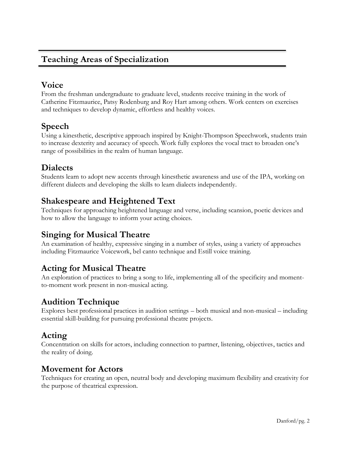# **Teaching Areas of Specialization**

# **Voice**

From the freshman undergraduate to graduate level, students receive training in the work of Catherine Fitzmaurice, Patsy Rodenburg and Roy Hart among others. Work centers on exercises and techniques to develop dynamic, effortless and healthy voices.

# **Speech**

Using a kinesthetic, descriptive approach inspired by Knight-Thompson Speechwork, students train to increase dexterity and accuracy of speech. Work fully explores the vocal tract to broaden one's range of possibilities in the realm of human language.

# **Dialects**

Students learn to adopt new accents through kinesthetic awareness and use of the IPA, working on different dialects and developing the skills to learn dialects independently.

# **Shakespeare and Heightened Text**

Techniques for approaching heightened language and verse, including scansion, poetic devices and how to allow the language to inform your acting choices.

# **Singing for Musical Theatre**

An examination of healthy, expressive singing in a number of styles, using a variety of approaches including Fitzmaurice Voicework, bel canto technique and Estill voice training.

# **Acting for Musical Theatre**

An exploration of practices to bring a song to life, implementing all of the specificity and momentto-moment work present in non-musical acting.

# **Audition Technique**

Explores best professional practices in audition settings – both musical and non-musical – including essential skill-building for pursuing professional theatre projects.

# **Acting**

Concentration on skills for actors, including connection to partner, listening, objectives, tactics and the reality of doing.

#### **Movement for Actors**

Techniques for creating an open, neutral body and developing maximum flexibility and creativity for the purpose of theatrical expression.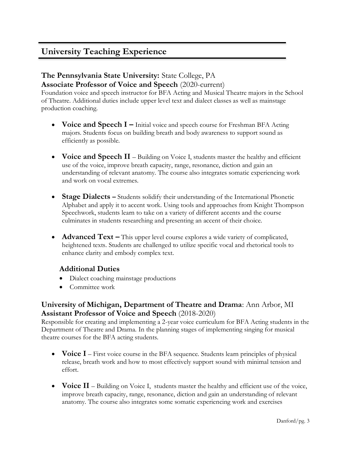# **University Teaching Experience**

#### **The Pennsylvania State University:** State College, PA **Associate Professor of Voice and Speech** (2020-current)

Foundation voice and speech instructor for BFA Acting and Musical Theatre majors in the School of Theatre. Additional duties include upper level text and dialect classes as well as mainstage production coaching.

- **Voice and Speech I** Initial voice and speech course for Freshman BFA Acting majors. Students focus on building breath and body awareness to support sound as efficiently as possible.
- **Voice and Speech II**  Building on Voice I, students master the healthy and efficient use of the voice, improve breath capacity, range, resonance, diction and gain an understanding of relevant anatomy. The course also integrates somatic experiencing work and work on vocal extremes.
- **Stage Dialects** Students solidify their understanding of the International Phonetic Alphabet and apply it to accent work. Using tools and approaches from Knight Thompson Speechwork, students learn to take on a variety of different accents and the course culminates in students researching and presenting an accent of their choice.
- **Advanced Text** This upper level course explores a wide variety of complicated, heightened texts. Students are challenged to utilize specific vocal and rhetorical tools to enhance clarity and embody complex text.

#### **Additional Duties**

- Dialect coaching mainstage productions
- Committee work

#### **University of Michigan, Department of Theatre and Drama**: Ann Arbor, MI **Assistant Professor of Voice and Speech** (2018-2020)

Responsible for creating and implementing a 2-year voice curriculum for BFA Acting students in the Department of Theatre and Drama. In the planning stages of implementing singing for musical theatre courses for the BFA acting students.

- **Voice I** First voice course in the BFA sequence. Students learn principles of physical release, breath work and how to most effectively support sound with minimal tension and effort.
- **Voice II** Building on Voice I, students master the healthy and efficient use of the voice, improve breath capacity, range, resonance, diction and gain an understanding of relevant anatomy. The course also integrates some somatic experiencing work and exercises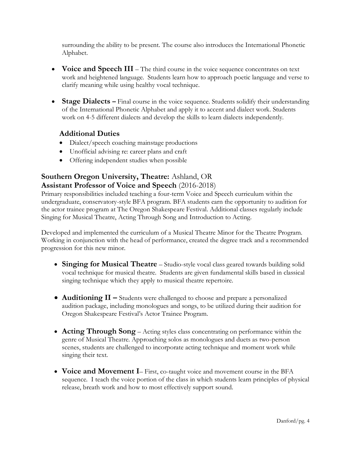surrounding the ability to be present. The course also introduces the International Phonetic Alphabet.

- **Voice and Speech III** The third course in the voice sequence concentrates on text work and heightened language. Students learn how to approach poetic language and verse to clarify meaning while using healthy vocal technique.
- **Stage Dialects –** Final course in the voice sequence. Students solidify their understanding of the International Phonetic Alphabet and apply it to accent and dialect work. Students work on 4-5 different dialects and develop the skills to learn dialects independently.

#### **Additional Duties**

- Dialect/speech coaching mainstage productions
- Unofficial advising re: career plans and craft
- Offering independent studies when possible

## **Southern Oregon University, Theatre:** Ashland, OR **Assistant Professor of Voice and Speech** (2016-2018)

Primary responsibilities included teaching a four-term Voice and Speech curriculum within the undergraduate, conservatory-style BFA program. BFA students earn the opportunity to audition for the actor trainee program at The Oregon Shakespeare Festival. Additional classes regularly include Singing for Musical Theatre, Acting Through Song and Introduction to Acting.

Developed and implemented the curriculum of a Musical Theatre Minor for the Theatre Program. Working in conjunction with the head of performance, created the degree track and a recommended progression for this new minor.

- **Singing for Musical Theatre** Studio-style vocal class geared towards building solid vocal technique for musical theatre. Students are given fundamental skills based in classical singing technique which they apply to musical theatre repertoire.
- **Auditioning II –** Students were challenged to choose and prepare a personalized audition package, including monologues and songs, to be utilized during their audition for Oregon Shakespeare Festival's Actor Trainee Program.
- **Acting Through Song** Acting styles class concentrating on performance within the genre of Musical Theatre. Approaching solos as monologues and duets as two-person scenes, students are challenged to incorporate acting technique and moment work while singing their text.
- **Voice and Movement I** First, co-taught voice and movement course in the BFA sequence. I teach the voice portion of the class in which students learn principles of physical release, breath work and how to most effectively support sound.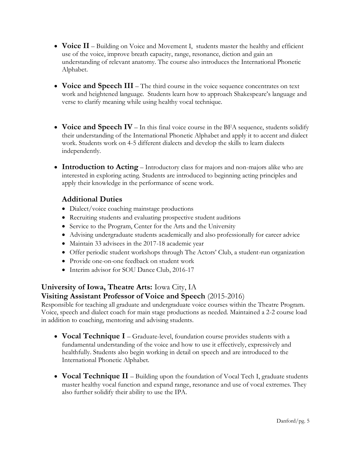- **Voice II** Building on Voice and Movement I, students master the healthy and efficient use of the voice, improve breath capacity, range, resonance, diction and gain an understanding of relevant anatomy. The course also introduces the International Phonetic Alphabet.
- **Voice and Speech III** The third course in the voice sequence concentrates on text work and heightened language. Students learn how to approach Shakespeare's language and verse to clarify meaning while using healthy vocal technique.
- **Voice and Speech IV** In this final voice course in the BFA sequence, students solidify their understanding of the International Phonetic Alphabet and apply it to accent and dialect work. Students work on 4-5 different dialects and develop the skills to learn dialects independently.
- **Introduction to Acting** Introductory class for majors and non-majors alike who are interested in exploring acting. Students are introduced to beginning acting principles and apply their knowledge in the performance of scene work.

#### **Additional Duties**

- Dialect/voice coaching mainstage productions
- Recruiting students and evaluating prospective student auditions
- Service to the Program, Center for the Arts and the University
- Advising undergraduate students academically and also professionally for career advice
- Maintain 33 advisees in the 2017-18 academic year
- Offer periodic student workshops through The Actors' Club, a student-run organization
- Provide one-on-one feedback on student work
- Interim advisor for SOU Dance Club, 2016-17

#### **University of Iowa, Theatre Arts:** Iowa City, IA

#### **Visiting Assistant Professor of Voice and Speech** (2015-2016)

Responsible for teaching all graduate and undergraduate voice courses within the Theatre Program. Voice, speech and dialect coach for main stage productions as needed. Maintained a 2-2 course load in addition to coaching, mentoring and advising students.

- **Vocal Technique I** Graduate-level, foundation course provides students with a fundamental understanding of the voice and how to use it effectively, expressively and healthfully. Students also begin working in detail on speech and are introduced to the International Phonetic Alphabet.
- **Vocal Technique II**  Building upon the foundation of Vocal Tech I, graduate students master healthy vocal function and expand range, resonance and use of vocal extremes. They also further solidify their ability to use the IPA.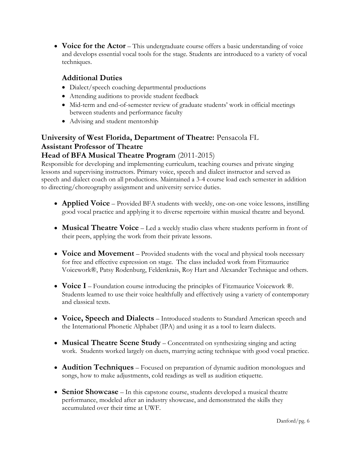• **Voice for the Actor** – This undergraduate course offers a basic understanding of voice and develops essential vocal tools for the stage. Students are introduced to a variety of vocal techniques.

#### **Additional Duties**

- Dialect/speech coaching departmental productions
- Attending auditions to provide student feedback
- Mid-term and end-of-semester review of graduate students' work in official meetings between students and performance faculty
- Advising and student mentorship

#### **University of West Florida, Department of Theatre:** Pensacola FL **Assistant Professor of Theatre Head of BFA Musical Theatre Program** (2011-2015)

Responsible for developing and implementing curriculum, teaching courses and private singing lessons and supervising instructors. Primary voice, speech and dialect instructor and served as speech and dialect coach on all productions. Maintained a 3-4 course load each semester in addition to directing/choreography assignment and university service duties.

- **Applied Voice** Provided BFA students with weekly, one-on-one voice lessons, instilling good vocal practice and applying it to diverse repertoire within musical theatre and beyond.
- **Musical Theatre Voice** Led a weekly studio class where students perform in front of their peers, applying the work from their private lessons.
- **Voice and Movement** Provided students with the vocal and physical tools necessary for free and effective expression on stage. The class included work from Fitzmaurice Voicework®, Patsy Rodenburg, Feldenkrais, Roy Hart and Alexander Technique and others.
- **Voice I** Foundation course introducing the principles of Fitzmaurice Voicework ®. Students learned to use their voice healthfully and effectively using a variety of contemporary and classical texts.
- **Voice, Speech and Dialects** Introduced students to Standard American speech and the International Phonetic Alphabet (IPA) and using it as a tool to learn dialects.
- **Musical Theatre Scene Study** Concentrated on synthesizing singing and acting work. Students worked largely on duets, marrying acting technique with good vocal practice.
- **Audition Techniques** Focused on preparation of dynamic audition monologues and songs, how to make adjustments, cold readings as well as audition etiquette.
- **Senior Showcase** In this capstone course, students developed a musical theatre performance, modeled after an industry showcase, and demonstrated the skills they accumulated over their time at UWF.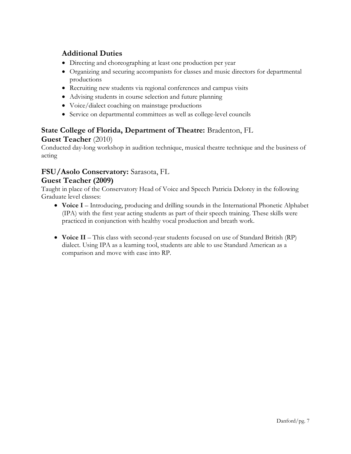#### **Additional Duties**

- Directing and choreographing at least one production per year
- Organizing and securing accompanists for classes and music directors for departmental productions
- Recruiting new students via regional conferences and campus visits
- Advising students in course selection and future planning
- Voice/dialect coaching on mainstage productions
- Service on departmental committees as well as college-level councils

#### **State College of Florida, Department of Theatre:** Bradenton, FL **Guest Teacher** (2010)

Conducted day-long workshop in audition technique, musical theatre technique and the business of acting

#### **FSU/Asolo Conservatory:** Sarasota, FL

#### **Guest Teacher (2009)**

Taught in place of the Conservatory Head of Voice and Speech Patricia Delorey in the following Graduate level classes:

- **Voice I** Introducing, producing and drilling sounds in the International Phonetic Alphabet (IPA) with the first year acting students as part of their speech training. These skills were practiced in conjunction with healthy vocal production and breath work.
- **Voice II** This class with second-year students focused on use of Standard British (RP) dialect. Using IPA as a learning tool, students are able to use Standard American as a comparison and move with ease into RP.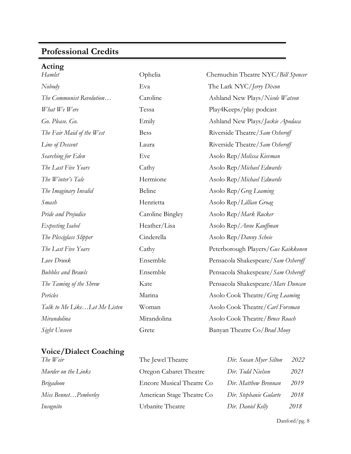# **Professional Credits**

| Acting |  |
|--------|--|

| Hamlet                       | Ophelia          | Chernuchin Theatre NYC/Bill Spencer |
|------------------------------|------------------|-------------------------------------|
| Nobody                       | Eva              | The Lark NYC/Jerry Dixon            |
| The Communist Revolution     | Caroline         | Ashland New Plays/Nicole Watson     |
| What We Were                 | Tessa            | Play4Keeps/play podcast             |
| Go. Please. Go.              | Emily            | Ashland New Plays/Jackie Apodaca    |
| The Fair Maid of the West    | <b>Bess</b>      | Riverside Theatre/Sam Osheroff      |
| Line of Descent              | Laura            | Riverside Theatre/Sam Osheroff      |
| Searching for Eden           | Eve              | Asolo Rep/Melissa Kievman           |
| The Last Five Years          | Cathy            | Asolo Rep/Michael Edwards           |
| The Winter's Tale            | Hermione         | Asolo Rep/Michael Edwards           |
| The Imaginary Invalid        | Beline           | Asolo Rep/Greg Leaming              |
| Smash                        | Henrietta        | Asolo Rep/Lillian Groag             |
| Pride and Prejudice          | Caroline Bingley | Asolo Rep/Mark Rucker               |
| Expecting Isabel             | Heather/Lisa     | Asolo Rep/Anne Kauffman             |
| The Plexiglass Slipper       | Cinderella       | Asolo Rep/Danny Scheie              |
| The Last Five Years          | Cathy            | Peterborough Players/Gus Kaikkonen  |
| Love Drunk                   | Ensemble         | Pensacola Shakespeare/Sam Osheroff  |
| <b>Bubbles and Brawls</b>    | Ensemble         | Pensacola Shakespeare/Sam Osheroff  |
| The Taming of the Shrew      | Kate             | Pensacola Shakespeare/Marc Duncan   |
| Pericles                     | Marina           | Asolo Cook Theatre/Greg Leaming     |
| Talk to Me LikeLet Me Listen | Woman            | Asolo Cook Theatre/Carl Forsman     |
| Mirandolina                  | Mirandolina      | Asolo Cook Theatre/Bruce Roach      |
| Sight Unseen                 | Grete            | Banyan Theatre Co/Brad Mooy         |

#### **Voice/Dialect Coaching**

| Murder on the Links  |
|----------------------|
| Brigadoon            |
| Miss BennetPemberley |
| Incognito            |

| The Weir             | The Jewel Theatre         | Dir. Susan Myer Silton | 2022 |
|----------------------|---------------------------|------------------------|------|
| Murder on the Links  | Oregon Cabaret Theatre    | Dir. Todd Nielsen      | 2021 |
| Brigadoon            | Encore Musical Theatre Co | Dir. Matthew Brennan   | 2019 |
| Miss BennetPemberley | American Stage Theatre Co | Dir. Stephanie Gularte | 2018 |
| Incognito            | Urbanite Theatre          | Dir. Daniel Kelly      | 2018 |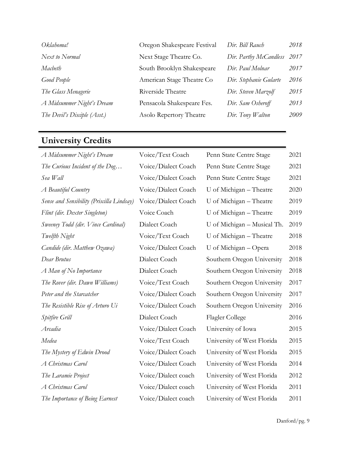| Oklahoma!                    | Oregon Shakespeare Festival | Dir. Bill Rauch        | 2018 |
|------------------------------|-----------------------------|------------------------|------|
| Next to Normal               | Next Stage Theatre Co.      | Dir. Parthy McCandless | 2017 |
| Macbeth                      | South Brooklyn Shakespeare  | Dir. Paul Molnar       | 2017 |
| Good People                  | American Stage Theatre Co   | Dir. Stephanie Gularte | 2016 |
| The Glass Menagerie          | Riverside Theatre           | Dir. Steven Marzolf    | 2015 |
| A Midsummer Night's Dream    | Pensacola Shakespeare Fes.  | Dir. Sam Osheroff      | 2013 |
| The Devil's Disciple (Asst.) | Asolo Repertory Theatre     | $Dir.$ Tony Walton     | 2009 |
|                              |                             |                        |      |

# **University Credits**

| A Midsummer Night's Dream                 | Voice/Text Coach    | Penn State Centre Stage     | 2021 |
|-------------------------------------------|---------------------|-----------------------------|------|
| The Curious Incident of the Dog           | Voice/Dialect Coach | Penn State Centre Stage     | 2021 |
| Sea Wall                                  | Voice/Dialect Coach | Penn State Centre Stage     | 2021 |
| A Beautiful Country                       | Voice/Dialect Coach | U of Michigan - Theatre     | 2020 |
| Sense and Sensibility (Priscilla Lindsay) | Voice/Dialect Coach | U of Michigan - Theatre     | 2019 |
| Flint (dir. Dexter Singleton)             | Voice Coach         | U of Michigan - Theatre     | 2019 |
| Sweeney Todd (dir. Vince Cardinal)        | Dialect Coach       | U of Michigan - Musical Th. | 2019 |
| Twelfth Night                             | Voice/Text Coach    | U of Michigan - Theatre     | 2018 |
| Candide (dir. Matthew Ozawa)              | Voice/Dialect Coach | U of Michigan - Opera       | 2018 |
| Dear Brutus                               | Dialect Coach       | Southern Oregon University  | 2018 |
| A Man of No Importance                    | Dialect Coach       | Southern Oregon University  | 2018 |
| The Rover (dir. Dawn Williams)            | Voice/Text Coach    | Southern Oregon University  | 2017 |
| Peter and the Starcatcher                 | Voice/Dialect Coach | Southern Oregon University  | 2017 |
| The Resistible Rise of Arturo Ui          | Voice/Dialect Coach | Southern Oregon University  | 2016 |
| Spitfire Grill                            | Dialect Coach       | Flagler College             | 2016 |
| Arcadia                                   | Voice/Dialect Coach | University of Iowa          | 2015 |
| Medea                                     | Voice/Text Coach    | University of West Florida  | 2015 |
| The Mystery of Edwin Drood                | Voice/Dialect Coach | University of West Florida  | 2015 |
| A Christmas Carol                         | Voice/Dialect Coach | University of West Florida  | 2014 |
| The Laramie Project                       | Voice/Dialect coach | University of West Florida  | 2012 |
| A Christmas Carol                         | Voice/Dialect coach | University of West Florida  | 2011 |
| The Importance of Being Earnest           | Voice/Dialect coach | University of West Florida  | 2011 |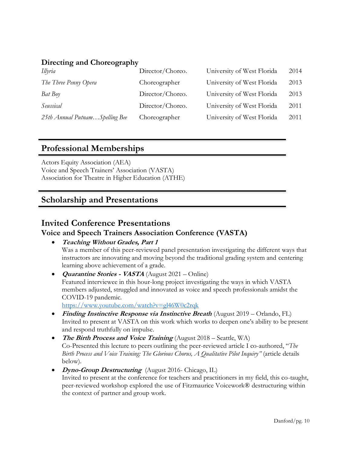#### **Directing and Choreography**

| Illyria                        | Director/Choreo. | University of West Florida | 2014 |
|--------------------------------|------------------|----------------------------|------|
| The Three Penny Opera          | Choreographer    | University of West Florida | 2013 |
| Bat Boy                        | Director/Choreo. | University of West Florida | 2013 |
| Seussical                      | Director/Choreo. | University of West Florida | 2011 |
| 25th Annual PutnamSpelling Bee | Choreographer    | University of West Florida | 2011 |

#### **Professional Memberships**

Actors Equity Association (AEA) Voice and Speech Trainers' Association (VASTA) Association for Theatre in Higher Education (ATHE)

## **Scholarship and Presentations**

## **Invited Conference Presentations**

#### **Voice and Speech Trainers Association Conference (VASTA)**

- **Teaching Without Grades, Part 1** Was a member of this peer-reviewed panel presentation investigating the different ways that instructors are innovating and moving beyond the traditional grading system and centering learning above achievement of a grade.
- **Quarantine Stories - VASTA** (August 2021 Online) Featured interviewee in this hour-long project investigating the ways in which VASTA members adjusted, struggled and innovated as voice and speech professionals amidst the COVID-19 pandemic. <https://www.youtube.com/watch?v=gl46W0c2rqk>
- **Finding Instinctive Response via Instinctive Breath** (August 2019 Orlando, FL) Invited to present at VASTA on this work which works to deepen one's ability to be present and respond truthfully on impulse.
- **The Birth Process and Voice Training** (August 2018 Seattle, WA) Co-Presented this lecture to peers outlining the peer-reviewed article I co-authored, "*The Birth Process and Voice Training: The Glorious Chorus, A Qualitative Pilot Inquiry"* (article details below).
- **Dyno-Group Destructuring** (August 2016- Chicago, IL) Invited to present at the conference for teachers and practitioners in my field, this co-taught, peer-reviewed workshop explored the use of Fitzmaurice Voicework® destructuring within the context of partner and group work.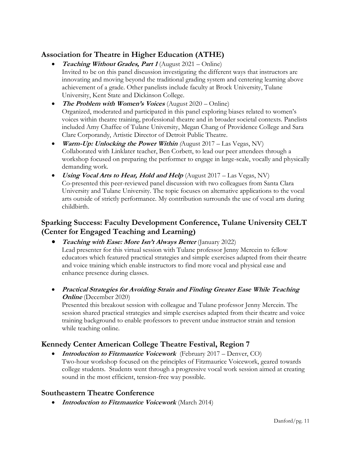## **Association for Theatre in Higher Education (ATHE)**

- **Teaching Without Grades, Part 1** (August 2021 Online) Invited to be on this panel discussion investigating the different ways that instructors are innovating and moving beyond the traditional grading system and centering learning above achievement of a grade. Other panelists include faculty at Brock University, Tulane University, Kent State and Dickinson College.
- **The Problem with Women's Voices** (August 2020 Online) Organized, moderated and participated in this panel exploring biases related to women's voices within theatre training, professional theatre and in broader societal contexts. Panelists included Amy Chaffee of Tulane University, Megan Chang of Providence College and Sara Clare Corporandy, Artistic Director of Detroit Public Theatre.
- **Warm-Up: Unlocking the Power Within** *(*August 2017 Las Vegas, NV) Collaborated with Linklater teacher, Ben Corbett, to lead our peer attendees through a workshop focused on preparing the performer to engage in large-scale, vocally and physically demanding work.
- *Using Vocal Arts to Hear, Hold and Help* (August 2017 Las Vegas, NV) Co-presented this peer-reviewed panel discussion with two colleagues from Santa Clara University and Tulane University. The topic focuses on alternative applications to the vocal arts outside of strictly performance. My contribution surrounds the use of vocal arts during childbirth.

## **Sparking Success: Faculty Development Conference, Tulane University CELT (Center for Engaged Teaching and Learning)**

- **Teaching with Ease: More Isn't Always Better** (January 2022) Lead presenter for this virtual session with Tulane professor Jenny Mercein to fellow educators which featured practical strategies and simple exercises adapted from their theatre and voice training which enable instructors to find more vocal and physical ease and enhance presence during classes.
- **Practical Strategies for Avoiding Strain and Finding Greater Ease While Teaching Online** (December 2020)

Presented this breakout session with colleague and Tulane professor Jenny Mercein. The session shared practical strategies and simple exercises adapted from their theatre and voice training background to enable professors to prevent undue instructor strain and tension while teaching online.

## **Kennedy Center American College Theatre Festival, Region 7**

• **Introduction to Fitzmaurice Voicework** (February 2017 – Denver, CO) Two-hour workshop focused on the principles of Fitzmaurice Voicework, geared towards college students. Students went through a progressive vocal work session aimed at creating sound in the most efficient, tension-free way possible.

#### **Southeastern Theatre Conference**

• **Introduction to Fitzmaurice Voicework** (March 2014)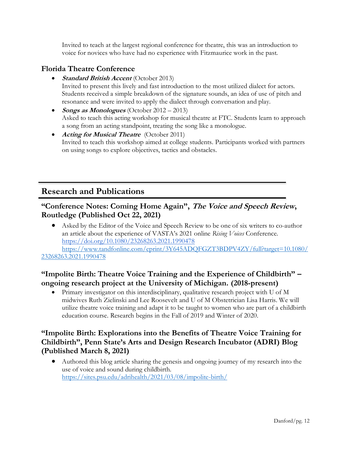Invited to teach at the largest regional conference for theatre, this was an introduction to voice for novices who have had no experience with Fitzmaurice work in the past.

#### **Florida Theatre Conference**

- **Standard British Accent** (October 2013) Invited to present this lively and fast introduction to the most utilized dialect for actors. Students received a simple breakdown of the signature sounds, an idea of use of pitch and resonance and were invited to apply the dialect through conversation and play.
- **Songs as Monologues** (October 2012 2013) Asked to teach this acting workshop for musical theatre at FTC. Students learn to approach a song from an acting standpoint, treating the song like a monologue.
- **Acting for Musical Theatre** (October 2011) Invited to teach this workshop aimed at college students. Participants worked with partners on using songs to explore objectives, tactics and obstacles.

## **Research and Publications**

#### **"Conference Notes: Coming Home Again", The Voice and Speech Review, Routledge (Published Oct 22, 2021)**

• Asked by the Editor of the Voice and Speech Review to be one of six writers to co-author an article about the experience of VASTA's 2021 online *Rising Voices* Conference. <https://doi.org/10.1080/23268263.2021.1990478> [https://www.tandfonline.com/eprint/3Y645ADQFGZT3BDPV4ZY/full?target=10.1080/](https://www.tandfonline.com/eprint/3Y645ADQFGZT3BDPV4ZY/full?target=10.1080/23268263.2021.1990478)

#### [23268263.2021.1990478](https://www.tandfonline.com/eprint/3Y645ADQFGZT3BDPV4ZY/full?target=10.1080/23268263.2021.1990478)

## **"Impolite Birth: Theatre Voice Training and the Experience of Childbirth" – ongoing research project at the University of Michigan. (2018-present)**

• Primary investigator on this interdisciplinary, qualitative research project with U of M midwives Ruth Zielinski and Lee Roosevelt and U of M Obstetrician Lisa Harris. We will utilize theatre voice training and adapt it to be taught to women who are part of a childbirth education course. Research begins in the Fall of 2019 and Winter of 2020.

## **"Impolite Birth: Explorations into the Benefits of Theatre Voice Training for Childbirth", Penn State's Arts and Design Research Incubator (ADRI) Blog (Published March 8, 2021)**

• Authored this blog article sharing the genesis and ongoing journey of my research into the use of voice and sound during childbirth. <https://sites.psu.edu/adrihealth/2021/03/08/impolite-birth/>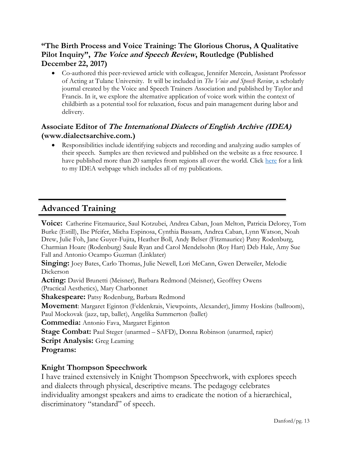## **"The Birth Process and Voice Training: The Glorious Chorus, A Qualitative Pilot Inquiry", The Voice and Speech Review, Routledge (Published December 22, 2017)**

• Co-authored this peer-reviewed article with colleague, Jennifer Mercein, Assistant Professor of Acting at Tulane University. It will be included in *The Voice and Speech Review*, a scholarly journal created by the Voice and Speech Trainers Association and published by Taylor and Francis. In it, we explore the alternative application of voice work within the context of childbirth as a potential tool for relaxation, focus and pain management during labor and delivery.

## **Associate Editor of The International Dialects of English Archive (IDEA) (www.dialectsarchive.com.)**

• Responsibilities include identifying subjects and recording and analyzing audio samples of their speech. Samples are then reviewed and published on the website as a free resource. I have published more than 20 samples from regions all over the world. Click [here](http://www.dialectsarchive.com/kris-danford) for a link to my IDEA webpage which includes all of my publications.

# **Advanced Training**

**Voice:** Catherine Fitzmaurice, Saul Kotzubei, Andrea Caban, Joan Melton, Patricia Delorey, Tom Burke (Estill), Ilse Pfeifer, Micha Espinosa, Cynthia Bassam, Andrea Caban, Lynn Watson, Noah Drew, Julie Foh, Jane Guyer-Fujita, Heather Boll, Andy Belser (Fitzmaurice) Patsy Rodenburg, Charmian Hoare (Rodenburg) Saule Ryan and Carol Mendelsohn (Roy Hart) Deb Hale, Amy Sue Fall and Antonio Ocampo Guzman (Linklater)

**Singing:** Joey Bates, Carlo Thomas, Julie Newell, Lori McCann, Gwen Detweiler, Melodie Dickerson

**Acting:** David Brunetti (Meisner), Barbara Redmond (Meisner), Geoffrey Owens (Practical Aesthetics), Mary Charbonnet

**Shakespeare:** Patsy Rodenburg, Barbara Redmond

**Movement**: Margaret Eginton (Feldenkrais, Viewpoints, Alexander), Jimmy Hoskins (ballroom), Paul Mockovak (jazz, tap, ballet), Angelika Summerton (ballet)

**Commedia:** Antonio Fava, Margaret Eginton

**Stage Combat:** Paul Steger (unarmed – SAFD), Donna Robinson (unarmed, rapier)

**Script Analysis:** Greg Leaming

**Programs:**

## **Knight Thompson Speechwork**

I have trained extensively in Knight Thompson Speechwork, with explores speech and dialects through physical, descriptive means. The pedagogy celebrates individuality amongst speakers and aims to eradicate the notion of a hierarchical, discriminatory "standard" of speech.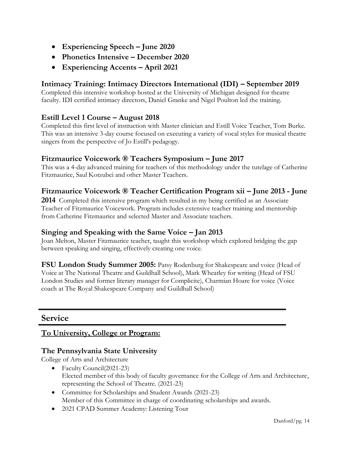- **Experiencing Speech – June 2020**
- **Phonetics Intensive – December 2020**
- **Experiencing Accents – April 2021**

## **Intimacy Training: Intimacy Directors International (IDI) – September 2019**

Completed this intensive workshop hosted at the University of Michigan designed for theatre faculty. IDI certified intimacy directors, Daniel Granke and Nigel Poulton led the training.

#### **Estill Level 1 Course – August 2018**

Completed this first level of instruction with Master clinician and Estill Voice Teacher, Tom Burke. This was an intensive 3-day course focused on executing a variety of vocal styles for musical theatre singers from the perspective of Jo Estill's pedagogy.

#### **Fitzmaurice Voicework ® Teachers Symposium – June 2017**

This was a 4-day advanced training for teachers of this methodology under the tutelage of Catherine Fitzmaurice, Saul Kotzubei and other Master Teachers.

#### **Fitzmaurice Voicework ® Teacher Certification Program xii – June 2013 - June**

**2014** Completed this intensive program which resulted in my being certified as an Associate Teacher of Fitzmaurice Voicework. Program includes extensive teacher training and mentorship from Catherine Fitzmaurice and selected Master and Associate teachers.

#### **Singing and Speaking with the Same Voice – Jan 2013**

Joan Melton, Master Fitzmaurice teacher, taught this workshop which explored bridging the gap between speaking and singing, effectively creating one voice.

**FSU London Study Summer 2005:** Patsy Rodenburg for Shakespeare and voice (Head of Voice at The National Theatre and Guildhall School), Mark Wheatley for writing (Head of FSU London Studies and former literary manager for Complicite), Charmian Hoare for voice (Voice coach at The Royal Shakespeare Company and Guildhall School)

## **Service**

#### **To University, College or Program:**

#### **The Pennsylvania State University**

College of Arts and Architecture

- Faculty Council(2021-23) Elected member of this body of faculty governance for the College of Arts and Architecture, representing the School of Theatre. (2021-23)
- Committee for Scholarships and Student Awards (2021-23) Member of this Committee in charge of coordinating scholarships and awards.
- 2021 CPAD Summer Academy: Listening Tour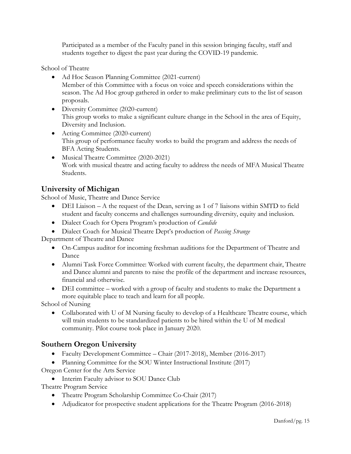Participated as a member of the Faculty panel in this session bringing faculty, staff and students together to digest the past year during the COVID-19 pandemic.

School of Theatre

- Ad Hoc Season Planning Committee (2021-current) Member of this Committee with a focus on voice and speech considerations within the season. The Ad Hoc group gathered in order to make preliminary cuts to the list of season proposals.
- Diversity Committee (2020-current) This group works to make a significant culture change in the School in the area of Equity, Diversity and Inclusion.
- Acting Committee (2020-current) This group of performance faculty works to build the program and address the needs of BFA Acting Students.
- Musical Theatre Committee (2020-2021) Work with musical theatre and acting faculty to address the needs of MFA Musical Theatre Students.

#### **University of Michigan**

School of Music, Theatre and Dance Service

- DEI Liaison A the request of the Dean, serving as 1 of 7 liaisons within SMTD to field student and faculty concerns and challenges surrounding diversity, equity and inclusion.
- Dialect Coach for Opera Program's production of *Candide*
- Dialect Coach for Musical Theatre Dept's production of *Passing Strange*

Department of Theatre and Dance

- On-Campus auditor for incoming freshman auditions for the Department of Theatre and Dance
- Alumni Task Force Committee: Worked with current faculty, the department chair, Theatre and Dance alumni and parents to raise the profile of the department and increase resources, financial and otherwise.
- DEI committee worked with a group of faculty and students to make the Department a more equitable place to teach and learn for all people.

School of Nursing

• Collaborated with U of M Nursing faculty to develop of a Healthcare Theatre course, which will train students to be standardized patients to be hired within the U of M medical community. Pilot course took place in January 2020.

## **Southern Oregon University**

- Faculty Development Committee Chair (2017-2018), Member (2016-2017)
- Planning Committee for the SOU Winter Instructional Institute (2017) Oregon Center for the Arts Service
	- Interim Faculty advisor to SOU Dance Club

Theatre Program Service

- Theatre Program Scholarship Committee Co-Chair (2017)
- Adjudicator for prospective student applications for the Theatre Program (2016-2018)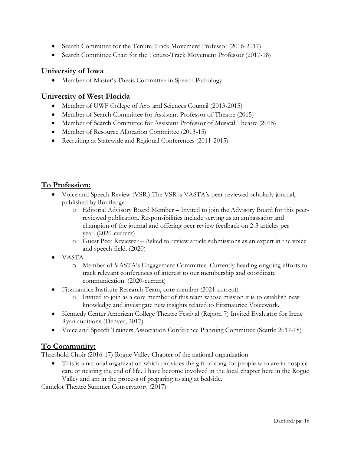- Search Committee for the Tenure-Track Movement Professor (2016-2017)
- Search Committee Chair for the Tenure-Track Movement Professor (2017-18)

#### **University of Iowa**

• Member of Master's Thesis Committee in Speech Pathology

#### **University of West Florida**

- Member of UWF College of Arts and Sciences Council (2013-2015)
- Member of Search Committee for Assistant Professor of Theatre (2015)
- Member of Search Committee for Assistant Professor of Musical Theatre (2015)
- Member of Resource Allocation Committee (2013-15)
- Recruiting at Statewide and Regional Conferences (2011-2015)

## **To Profession:**

- Voice and Speech Review (VSR.) The VSR is VASTA's peer-reviewed scholarly journal, published by Routledge.
	- o Editorial Advisory Board Member Invited to join the Advisory Board for this peerreviewed publication. Responsibilities include serving as an ambassador and champion of the journal and offering peer review feedback on 2-3 articles per year. (2020-current)
	- o Guest Peer Reviewer Asked to review article submissions as an expert in the voice and speech field. (2020)
- VASTA
	- o Member of VASTA's Engagement Committee. Currently heading ongoing efforts to track relevant conferences of interest to our membership and coordinate communication. (2020-current)
- Fitzmaurice Institute Research Team, core member (2021-current)
	- o Invited to join as a core member of this team whose mission it is to establish new knowledge and investigate new insights related to Fitzmaurice Voicework.
- Kennedy Center American College Theatre Festival (Region 7) Invited Evaluator for Irene Ryan auditions (Denver, 2017)
- Voice and Speech Trainers Association Conference Planning Committee (Seattle 2017-18)

#### **To Community:**

Threshold Choir (2016-17) Rogue Valley Chapter of the national organization

• This is a national organization which provides the gift of song for people who are in hospice care or nearing the end of life. I have become involved in the local chapter here in the Rogue Valley and am in the process of preparing to sing at bedside.

Camelot Theatre Summer Conservatory (2017)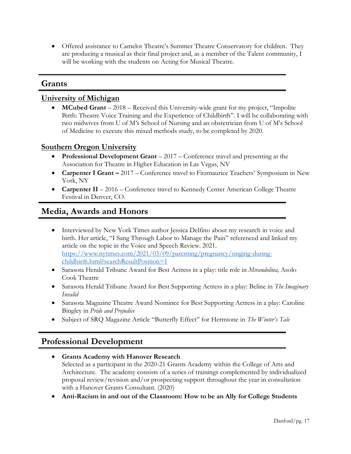• Offered assistance to Camelot Theatre's Summer Theatre Conservatory for children. They are producing a musical as their final project and, as a member of the Talent community, I will be working with the students on Acting for Musical Theatre.

#### **Grants**

#### **University of Michigan**

• **MCubed Grant** – 2018 – Received this University-wide grant for my project, "Impolite" Birth: Theatre Voice Training and the Experience of Childbirth". I will be collaborating with two midwives from U of M's School of Nursing and an obstetrician from U of M's School of Medicine to execute this mixed methods study, to be completed by 2020.

#### **Southern Oregon University**

- **Professional Development Grant**  2017 Conference travel and presenting at the Association for Theatre in Higher Education in Las Vegas, NV
- **Carpenter I Grant –** 2017 Conference travel to Fitzmaurice Teachers' Symposium in New York, NY
- **Carpenter II** 2016 Conference travel to Kennedy Center American College Theatre Festival in Denver, CO.

## **Media, Awards and Honors**

- Interviewed by New York Times author Jessica Delfino about my research in voice and birth. Her article, "I Sang Through Labor to Manage the Pain" referenced and linked my article on the topic in the Voice and Speech Review. 2021. [https://www.nytimes.com/2021/03/09/parenting/pregnancy/singing-during](https://www.nytimes.com/2021/03/09/parenting/pregnancy/singing-during-childbirth.html?searchResultPosition=1)[childbirth.html?searchResultPosition=1](https://www.nytimes.com/2021/03/09/parenting/pregnancy/singing-during-childbirth.html?searchResultPosition=1)
- Sarasota Herald Tribune Award for Best Actress in a play: title role in *Mirandolina,* Asolo Cook Theatre
- Sarasota Herald Tribune Award for Best Supporting Actress in a play: Beline in *The Imaginary Invalid*
- Sarasota Magazine Theatre Award Nominee for Best Supporting Actress in a play: Caroline Bingley in *Pride and Prejudice*
- Subject of SRQ Magazine Article "Butterfly Effect" for Hermione in *The Winter's Tale*

# **Professional Development**

- **Grants Academy with Hanover Research** Selected as a participant in the 2020-21 Grants Academy within the College of Arts and Architecture. The academy consists of a series of trainings complemented by individualized proposal review/revision and/or prospecting support throughout the year in consultation with a Hanover Grants Consultant. (2020)
- **Anti-Racism in and out of the Classroom: How to be an Ally for College Students**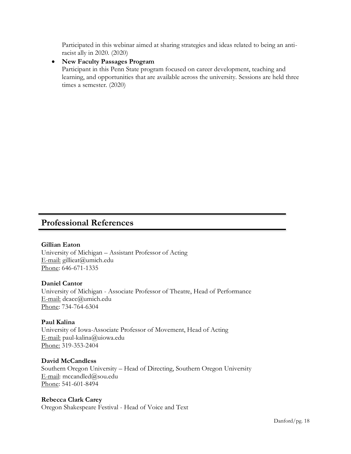Participated in this webinar aimed at sharing strategies and ideas related to being an antiracist ally in 2020. (2020)

#### • **New Faculty Passages Program**

Participant in this Penn State program focused on career development, teaching and learning, and opportunities that are available across the university. Sessions are held three times a semester. (2020)

## **Professional References**

#### **Gillian Eaton**

University of Michigan – Assistant Professor of Acting E-mail: gillieat@umich.edu Phone: 646-671-1335

#### **Daniel Cantor**

University of Michigan - Associate Professor of Theatre, Head of Performance E-mail: dcacc@umich.edu Phone: 734-764-6304

#### **Paul Kalina**

University of Iowa-Associate Professor of Movement, Head of Acting E-mail: paul-kalina@uiowa.edu Phone: 319-353-2404

#### **David McCandless**

Southern Oregon University – Head of Directing, Southern Oregon University E-mail: mccandled@sou.edu Phone: 541-601-8494

#### **Rebecca Clark Carey**

Oregon Shakespeare Festival - Head of Voice and Text